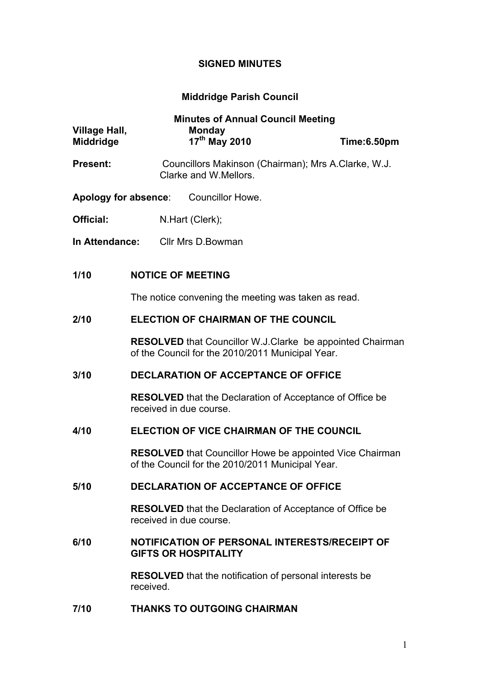## **SIGNED MINUTES**

# **Middridge Parish Council**

| <b>Village Hall,</b><br><b>Middridge</b> |                                                                                                                      | <b>Minutes of Annual Council Meeting</b><br><b>Monday</b><br>17 <sup>th</sup> May 2010 |                                                     | Time:6.50pm |  |
|------------------------------------------|----------------------------------------------------------------------------------------------------------------------|----------------------------------------------------------------------------------------|-----------------------------------------------------|-------------|--|
| <b>Present:</b>                          |                                                                                                                      | Clarke and W. Mellors.                                                                 | Councillors Makinson (Chairman); Mrs A.Clarke, W.J. |             |  |
| Apology for absence:                     |                                                                                                                      |                                                                                        | <b>Councillor Howe.</b>                             |             |  |
| <b>Official:</b>                         |                                                                                                                      | N.Hart (Clerk);                                                                        |                                                     |             |  |
| In Attendance:                           |                                                                                                                      | Cllr Mrs D. Bowman                                                                     |                                                     |             |  |
| 1/10                                     | <b>NOTICE OF MEETING</b>                                                                                             |                                                                                        |                                                     |             |  |
|                                          | The notice convening the meeting was taken as read.                                                                  |                                                                                        |                                                     |             |  |
| 2/10                                     | <b>ELECTION OF CHAIRMAN OF THE COUNCIL</b>                                                                           |                                                                                        |                                                     |             |  |
|                                          | <b>RESOLVED</b> that Councillor W.J.Clarke be appointed Chairman<br>of the Council for the 2010/2011 Municipal Year. |                                                                                        |                                                     |             |  |
| 3/10                                     | <b>DECLARATION OF ACCEPTANCE OF OFFICE</b>                                                                           |                                                                                        |                                                     |             |  |
|                                          | <b>RESOLVED</b> that the Declaration of Acceptance of Office be<br>received in due course.                           |                                                                                        |                                                     |             |  |
| 4/10                                     | ELECTION OF VICE CHAIRMAN OF THE COUNCIL                                                                             |                                                                                        |                                                     |             |  |
|                                          | <b>RESOLVED</b> that Councillor Howe be appointed Vice Chairman<br>of the Council for the 2010/2011 Municipal Year.  |                                                                                        |                                                     |             |  |
| 5/10                                     | <b>DECLARATION OF ACCEPTANCE OF OFFICE</b>                                                                           |                                                                                        |                                                     |             |  |
|                                          | <b>RESOLVED</b> that the Declaration of Acceptance of Office be<br>received in due course.                           |                                                                                        |                                                     |             |  |
| 6/10                                     | NOTIFICATION OF PERSONAL INTERESTS/RECEIPT OF<br><b>GIFTS OR HOSPITALITY</b>                                         |                                                                                        |                                                     |             |  |
|                                          | <b>RESOLVED</b> that the notification of personal interests be<br>received.                                          |                                                                                        |                                                     |             |  |

**7/10 THANKS TO OUTGOING CHAIRMAN**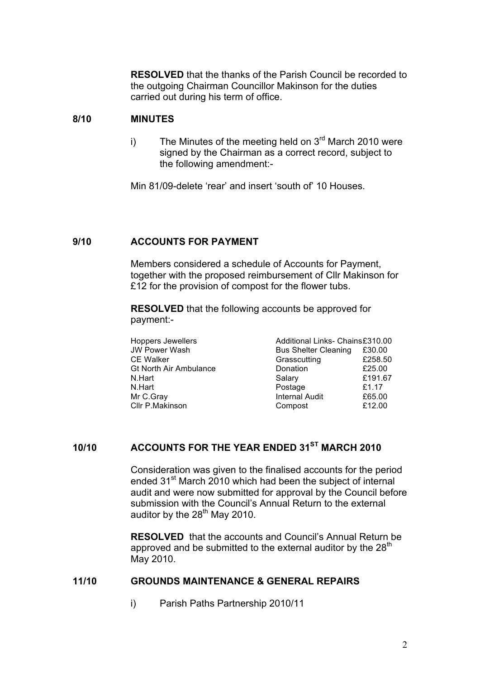**RESOLVED** that the thanks of the Parish Council be recorded to the outgoing Chairman Councillor Makinson for the duties carried out during his term of office.

### **8/10 MINUTES**

i) The Minutes of the meeting held on  $3<sup>rd</sup>$  March 2010 were signed by the Chairman as a correct record, subject to the following amendment:-

Min 81/09-delete 'rear' and insert 'south of' 10 Houses.

#### **9/10 ACCOUNTS FOR PAYMENT**

Members considered a schedule of Accounts for Payment, together with the proposed reimbursement of Cllr Makinson for £12 for the provision of compost for the flower tubs.

**RESOLVED** that the following accounts be approved for payment:-

Hoppers Jewellers **Additional Links- Chains£310.00**<br>JW Power Wash **All Bus Shelter Cleaning** £30.00 Bus Shelter Cleaning £30.00 CE Walker Grasscutting 258.50 Gt North Air Ambulance **Donation E25.00** N.Hart **E191.67** N.Hart **Postage E1.17** Mr C.Gray **Internal Audit** E65.00 Cllr P.Makinson Compost £12.00

### **10/10 ACCOUNTS FOR THE YEAR ENDED 31ST MARCH 2010**

Consideration was given to the finalised accounts for the period ended 31<sup>st</sup> March 2010 which had been the subject of internal audit and were now submitted for approval by the Council before submission with the Council's Annual Return to the external auditor by the 28<sup>th</sup> May 2010.

**RESOLVED** that the accounts and Council's Annual Return be approved and be submitted to the external auditor by the  $28<sup>th</sup>$ May 2010.

### **11/10 GROUNDS MAINTENANCE & GENERAL REPAIRS**

i) Parish Paths Partnership 2010/11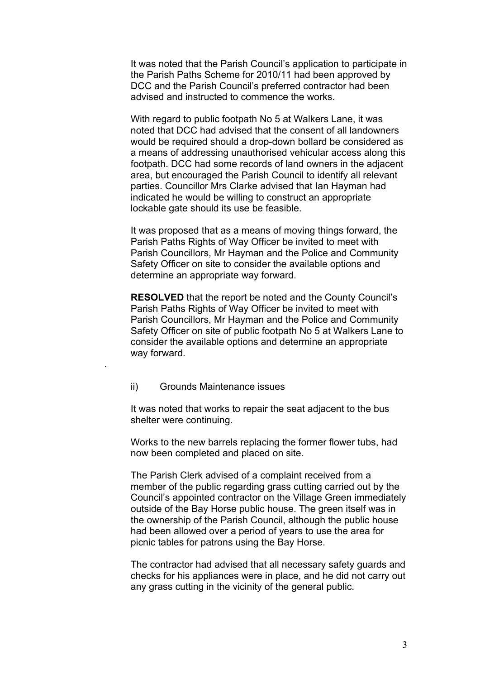It was noted that the Parish Council's application to participate in the Parish Paths Scheme for 2010/11 had been approved by DCC and the Parish Council's preferred contractor had been advised and instructed to commence the works.

With regard to public footpath No 5 at Walkers Lane, it was noted that DCC had advised that the consent of all landowners would be required should a drop-down bollard be considered as a means of addressing unauthorised vehicular access along this footpath. DCC had some records of land owners in the adjacent area, but encouraged the Parish Council to identify all relevant parties. Councillor Mrs Clarke advised that Ian Hayman had indicated he would be willing to construct an appropriate lockable gate should its use be feasible.

It was proposed that as a means of moving things forward, the Parish Paths Rights of Way Officer be invited to meet with Parish Councillors, Mr Hayman and the Police and Community Safety Officer on site to consider the available options and determine an appropriate way forward.

**RESOLVED** that the report be noted and the County Council's Parish Paths Rights of Way Officer be invited to meet with Parish Councillors, Mr Hayman and the Police and Community Safety Officer on site of public footpath No 5 at Walkers Lane to consider the available options and determine an appropriate way forward.

### ii) Grounds Maintenance issues

.

It was noted that works to repair the seat adjacent to the bus shelter were continuing.

Works to the new barrels replacing the former flower tubs, had now been completed and placed on site.

The Parish Clerk advised of a complaint received from a member of the public regarding grass cutting carried out by the Council's appointed contractor on the Village Green immediately outside of the Bay Horse public house. The green itself was in the ownership of the Parish Council, although the public house had been allowed over a period of years to use the area for picnic tables for patrons using the Bay Horse.

The contractor had advised that all necessary safety guards and checks for his appliances were in place, and he did not carry out any grass cutting in the vicinity of the general public.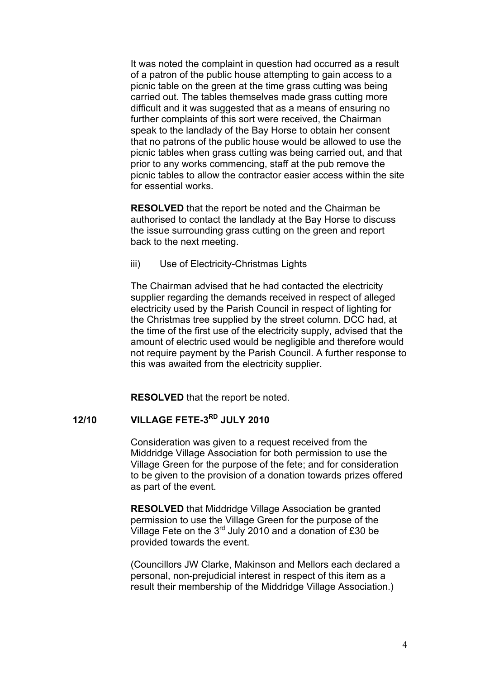It was noted the complaint in question had occurred as a result of a patron of the public house attempting to gain access to a picnic table on the green at the time grass cutting was being carried out. The tables themselves made grass cutting more difficult and it was suggested that as a means of ensuring no further complaints of this sort were received, the Chairman speak to the landlady of the Bay Horse to obtain her consent that no patrons of the public house would be allowed to use the picnic tables when grass cutting was being carried out, and that prior to any works commencing, staff at the pub remove the picnic tables to allow the contractor easier access within the site for essential works.

**RESOLVED** that the report be noted and the Chairman be authorised to contact the landlady at the Bay Horse to discuss the issue surrounding grass cutting on the green and report back to the next meeting.

iii) Use of Electricity-Christmas Lights

The Chairman advised that he had contacted the electricity supplier regarding the demands received in respect of alleged electricity used by the Parish Council in respect of lighting for the Christmas tree supplied by the street column. DCC had, at the time of the first use of the electricity supply, advised that the amount of electric used would be negligible and therefore would not require payment by the Parish Council. A further response to this was awaited from the electricity supplier.

**RESOLVED** that the report be noted.

### **12/10 VILLAGE FETE-3RD JULY 2010**

Consideration was given to a request received from the Middridge Village Association for both permission to use the Village Green for the purpose of the fete; and for consideration to be given to the provision of a donation towards prizes offered as part of the event.

**RESOLVED** that Middridge Village Association be granted permission to use the Village Green for the purpose of the Village Fete on the 3rd July 2010 and a donation of £30 be provided towards the event.

(Councillors JW Clarke, Makinson and Mellors each declared a personal, non-prejudicial interest in respect of this item as a result their membership of the Middridge Village Association.)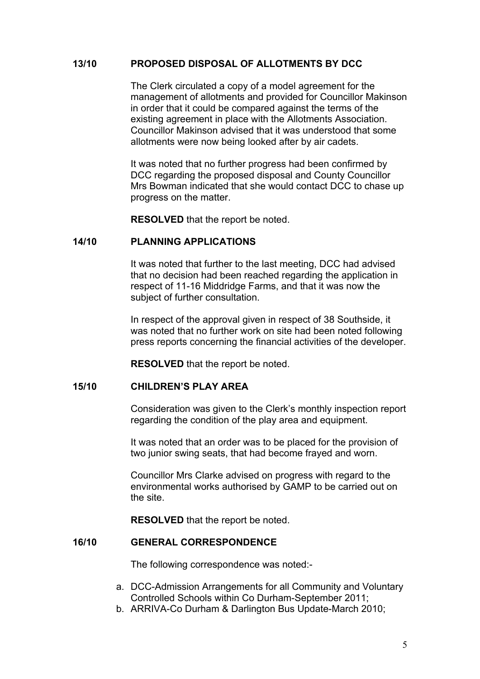### **13/10 PROPOSED DISPOSAL OF ALLOTMENTS BY DCC**

The Clerk circulated a copy of a model agreement for the management of allotments and provided for Councillor Makinson in order that it could be compared against the terms of the existing agreement in place with the Allotments Association. Councillor Makinson advised that it was understood that some allotments were now being looked after by air cadets.

It was noted that no further progress had been confirmed by DCC regarding the proposed disposal and County Councillor Mrs Bowman indicated that she would contact DCC to chase up progress on the matter.

**RESOLVED** that the report be noted.

#### **14/10 PLANNING APPLICATIONS**

It was noted that further to the last meeting, DCC had advised that no decision had been reached regarding the application in respect of 11-16 Middridge Farms, and that it was now the subject of further consultation.

In respect of the approval given in respect of 38 Southside, it was noted that no further work on site had been noted following press reports concerning the financial activities of the developer.

**RESOLVED** that the report be noted.

### **15/10 CHILDREN'S PLAY AREA**

Consideration was given to the Clerk's monthly inspection report regarding the condition of the play area and equipment.

It was noted that an order was to be placed for the provision of two junior swing seats, that had become frayed and worn.

Councillor Mrs Clarke advised on progress with regard to the environmental works authorised by GAMP to be carried out on the site.

**RESOLVED** that the report be noted.

### **16/10 GENERAL CORRESPONDENCE**

The following correspondence was noted:-

- a. DCC-Admission Arrangements for all Community and Voluntary Controlled Schools within Co Durham-September 2011;
- b. ARRIVA-Co Durham & Darlington Bus Update-March 2010;